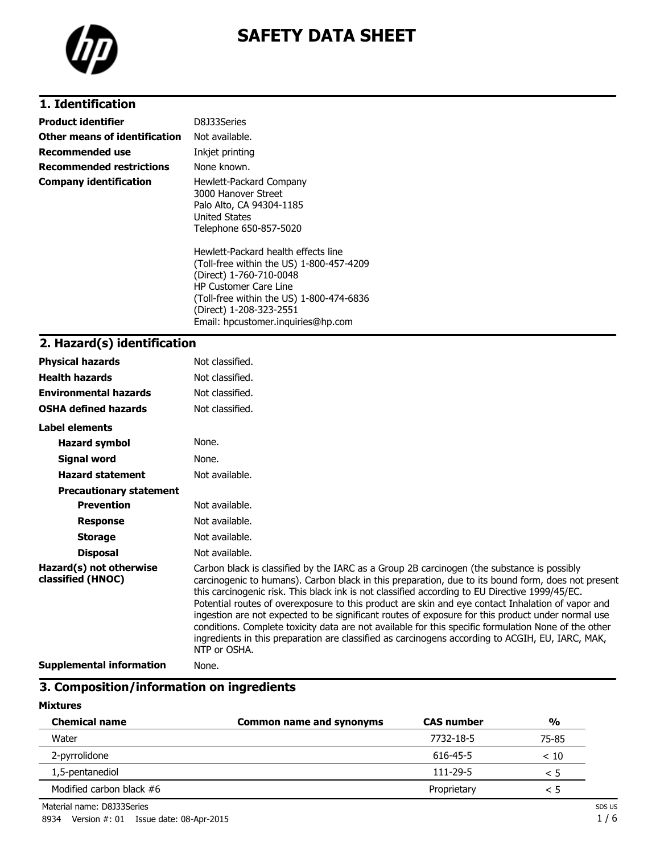

# **SAFETY DATA SHEET**

## **1. Identification**

| Product identifier            | D8J33Series                                                                                                                                                                                                       |
|-------------------------------|-------------------------------------------------------------------------------------------------------------------------------------------------------------------------------------------------------------------|
| Other means of identification | Not available.                                                                                                                                                                                                    |
| Recommended use               | Inkjet printing                                                                                                                                                                                                   |
| Recommended restrictions      | None known.                                                                                                                                                                                                       |
| Company identification        | Hewlett-Packard Company<br>3000 Hanover Street<br>Palo Alto, CA 94304-1185<br><b>United States</b><br>Telephone 650-857-5020                                                                                      |
|                               | Hewlett-Packard health effects line<br>(Toll-free within the US) 1-800-457-4209<br>(Direct) 1-760-710-0048<br><b>HP Customer Care Line</b><br>(Toll-free within the US) 1-800-474-6836<br>(Direct) 1-208-323-2551 |

Email: hpcustomer.inquiries@hp.com

### **2. Hazard(s) identification**

| <b>Physical hazards</b>                      | Not classified.                                                                                                                                                                                                                                                                                                                                                                                                                                                                                                                                                                                                                                                                                                                          |
|----------------------------------------------|------------------------------------------------------------------------------------------------------------------------------------------------------------------------------------------------------------------------------------------------------------------------------------------------------------------------------------------------------------------------------------------------------------------------------------------------------------------------------------------------------------------------------------------------------------------------------------------------------------------------------------------------------------------------------------------------------------------------------------------|
| <b>Health hazards</b>                        | Not classified.                                                                                                                                                                                                                                                                                                                                                                                                                                                                                                                                                                                                                                                                                                                          |
| <b>Environmental hazards</b>                 | Not classified.                                                                                                                                                                                                                                                                                                                                                                                                                                                                                                                                                                                                                                                                                                                          |
| <b>OSHA defined hazards</b>                  | Not classified.                                                                                                                                                                                                                                                                                                                                                                                                                                                                                                                                                                                                                                                                                                                          |
| Label elements                               |                                                                                                                                                                                                                                                                                                                                                                                                                                                                                                                                                                                                                                                                                                                                          |
| <b>Hazard symbol</b>                         | None.                                                                                                                                                                                                                                                                                                                                                                                                                                                                                                                                                                                                                                                                                                                                    |
| Signal word                                  | None.                                                                                                                                                                                                                                                                                                                                                                                                                                                                                                                                                                                                                                                                                                                                    |
| <b>Hazard statement</b>                      | Not available.                                                                                                                                                                                                                                                                                                                                                                                                                                                                                                                                                                                                                                                                                                                           |
| <b>Precautionary statement</b>               |                                                                                                                                                                                                                                                                                                                                                                                                                                                                                                                                                                                                                                                                                                                                          |
| <b>Prevention</b>                            | Not available.                                                                                                                                                                                                                                                                                                                                                                                                                                                                                                                                                                                                                                                                                                                           |
| <b>Response</b>                              | Not available.                                                                                                                                                                                                                                                                                                                                                                                                                                                                                                                                                                                                                                                                                                                           |
| <b>Storage</b>                               | Not available.                                                                                                                                                                                                                                                                                                                                                                                                                                                                                                                                                                                                                                                                                                                           |
| <b>Disposal</b>                              | Not available.                                                                                                                                                                                                                                                                                                                                                                                                                                                                                                                                                                                                                                                                                                                           |
| Hazard(s) not otherwise<br>classified (HNOC) | Carbon black is classified by the IARC as a Group 2B carcinogen (the substance is possibly<br>carcinogenic to humans). Carbon black in this preparation, due to its bound form, does not present<br>this carcinogenic risk. This black ink is not classified according to EU Directive 1999/45/EC.<br>Potential routes of overexposure to this product are skin and eye contact Inhalation of vapor and<br>ingestion are not expected to be significant routes of exposure for this product under normal use<br>conditions. Complete toxicity data are not available for this specific formulation None of the other<br>ingredients in this preparation are classified as carcinogens according to ACGIH, EU, IARC, MAK,<br>NTP or OSHA. |
| Cunnlamantal information                     | <b>Nono</b>                                                                                                                                                                                                                                                                                                                                                                                                                                                                                                                                                                                                                                                                                                                              |

**Supplemental information** None.

### **3. Composition/information on ingredients**

#### **Mixtures**

| <b>Chemical name</b>       | <b>Common name and synonyms</b> | <b>CAS number</b> | $\frac{0}{0}$ |
|----------------------------|---------------------------------|-------------------|---------------|
| Water                      |                                 | 7732-18-5         | 75-85         |
| 2-pyrrolidone              |                                 | 616-45-5          | < 10          |
| 1,5-pentanediol            |                                 | $111 - 29 - 5$    | < 5           |
| Modified carbon black $#6$ |                                 | Proprietary       | < 5           |

Material name: D8J33Series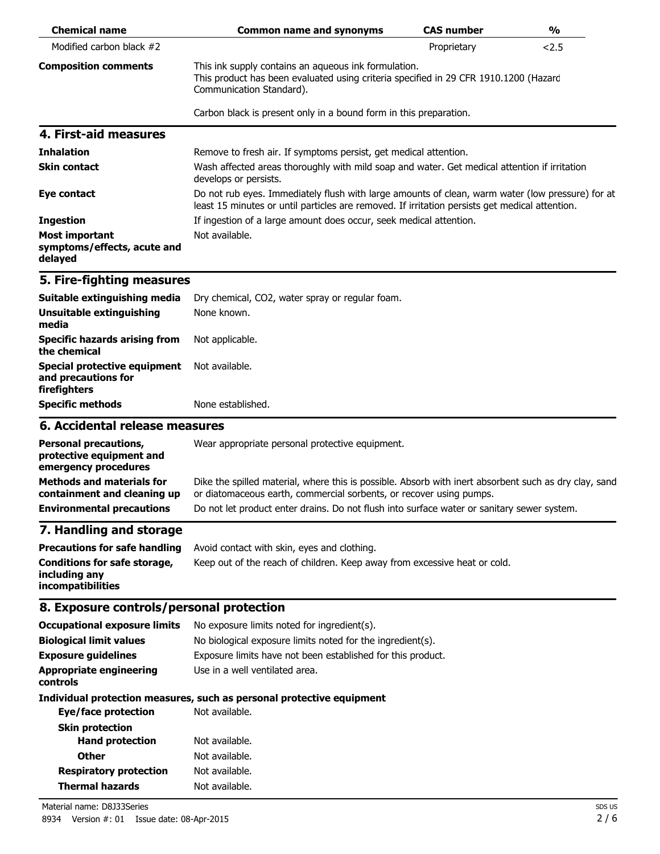| <b>Chemical name</b>                                                                                | <b>Common name and synonyms</b>                                                                                                                                                                                                                                            | <b>CAS number</b> | $\frac{0}{0}$ |
|-----------------------------------------------------------------------------------------------------|----------------------------------------------------------------------------------------------------------------------------------------------------------------------------------------------------------------------------------------------------------------------------|-------------------|---------------|
| Modified carbon black #2                                                                            |                                                                                                                                                                                                                                                                            | Proprietary       | 2.5           |
| <b>Composition comments</b>                                                                         | This ink supply contains an aqueous ink formulation.<br>This product has been evaluated using criteria specified in 29 CFR 1910.1200 (Hazard<br>Communication Standard).                                                                                                   |                   |               |
|                                                                                                     | Carbon black is present only in a bound form in this preparation.                                                                                                                                                                                                          |                   |               |
| 4. First-aid measures                                                                               |                                                                                                                                                                                                                                                                            |                   |               |
| <b>Inhalation</b>                                                                                   | Remove to fresh air. If symptoms persist, get medical attention.                                                                                                                                                                                                           |                   |               |
| <b>Skin contact</b>                                                                                 | Wash affected areas thoroughly with mild soap and water. Get medical attention if irritation<br>develops or persists.                                                                                                                                                      |                   |               |
| Eye contact                                                                                         | Do not rub eyes. Immediately flush with large amounts of clean, warm water (low pressure) for at<br>least 15 minutes or until particles are removed. If irritation persists get medical attention.                                                                         |                   |               |
| <b>Ingestion</b>                                                                                    | If ingestion of a large amount does occur, seek medical attention.                                                                                                                                                                                                         |                   |               |
| <b>Most important</b><br>symptoms/effects, acute and<br>delayed                                     | Not available.                                                                                                                                                                                                                                                             |                   |               |
| 5. Fire-fighting measures                                                                           |                                                                                                                                                                                                                                                                            |                   |               |
| Suitable extinguishing media                                                                        | Dry chemical, CO2, water spray or regular foam.                                                                                                                                                                                                                            |                   |               |
| Unsuitable extinguishing<br>media                                                                   | None known.                                                                                                                                                                                                                                                                |                   |               |
| <b>Specific hazards arising from</b><br>the chemical                                                | Not applicable.                                                                                                                                                                                                                                                            |                   |               |
| <b>Special protective equipment</b><br>and precautions for<br>firefighters                          | Not available.                                                                                                                                                                                                                                                             |                   |               |
| <b>Specific methods</b>                                                                             | None established.                                                                                                                                                                                                                                                          |                   |               |
| 6. Accidental release measures                                                                      |                                                                                                                                                                                                                                                                            |                   |               |
| <b>Personal precautions,</b><br>protective equipment and<br>emergency procedures                    | Wear appropriate personal protective equipment.                                                                                                                                                                                                                            |                   |               |
| <b>Methods and materials for</b><br>containment and cleaning up<br><b>Environmental precautions</b> | Dike the spilled material, where this is possible. Absorb with inert absorbent such as dry clay, sand<br>or diatomaceous earth, commercial sorbents, or recover using pumps.<br>Do not let product enter drains. Do not flush into surface water or sanitary sewer system. |                   |               |
| 7. Handling and storage                                                                             |                                                                                                                                                                                                                                                                            |                   |               |
| <b>Precautions for safe handling</b>                                                                | Avoid contact with skin, eyes and clothing.                                                                                                                                                                                                                                |                   |               |
| <b>Conditions for safe storage,</b><br>including any<br>incompatibilities                           | Keep out of the reach of children. Keep away from excessive heat or cold.                                                                                                                                                                                                  |                   |               |
| 8. Exposure controls/personal protection                                                            |                                                                                                                                                                                                                                                                            |                   |               |
| <b>Occupational exposure limits</b>                                                                 | No exposure limits noted for ingredient(s).                                                                                                                                                                                                                                |                   |               |
| <b>Biological limit values</b>                                                                      | No biological exposure limits noted for the ingredient(s).                                                                                                                                                                                                                 |                   |               |
| <b>Exposure guidelines</b>                                                                          | Exposure limits have not been established for this product.                                                                                                                                                                                                                |                   |               |
| <b>Appropriate engineering</b><br>controls                                                          | Use in a well ventilated area.                                                                                                                                                                                                                                             |                   |               |
| <b>Eye/face protection</b>                                                                          | Individual protection measures, such as personal protective equipment<br>Not available.                                                                                                                                                                                    |                   |               |
| <b>Skin protection</b>                                                                              |                                                                                                                                                                                                                                                                            |                   |               |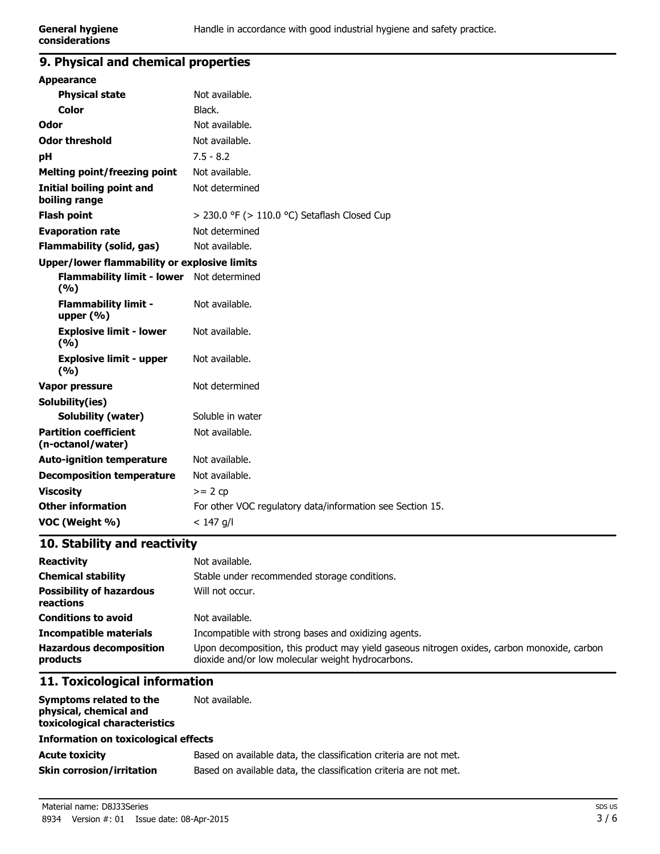## **9. Physical and chemical properties**

| <b>Appearance</b>                                 |                                                           |
|---------------------------------------------------|-----------------------------------------------------------|
| <b>Physical state</b>                             | Not available.                                            |
| <b>Color</b>                                      | Black.                                                    |
| Odor                                              | Not available.                                            |
| <b>Odor threshold</b>                             | Not available.                                            |
| рH                                                | $7.5 - 8.2$                                               |
| <b>Melting point/freezing point</b>               | Not available.                                            |
| <b>Initial boiling point and</b><br>boiling range | Not determined                                            |
| <b>Flash point</b>                                | $>$ 230.0 °F ( $>$ 110.0 °C) Setaflash Closed Cup         |
| <b>Evaporation rate</b>                           | Not determined                                            |
| <b>Flammability (solid, gas)</b>                  | Not available.                                            |
| Upper/lower flammability or explosive limits      |                                                           |
| <b>Flammability limit - lower</b><br>(%)          | Not determined                                            |
| <b>Flammability limit -</b><br>upper $(\% )$      | Not available.                                            |
| <b>Explosive limit - lower</b><br>(%)             | Not available.                                            |
| <b>Explosive limit - upper</b><br>(%)             | Not available.                                            |
| Vapor pressure                                    | Not determined                                            |
| Solubility(ies)                                   |                                                           |
| <b>Solubility (water)</b>                         | Soluble in water                                          |
| <b>Partition coefficient</b><br>(n-octanol/water) | Not available.                                            |
| <b>Auto-ignition temperature</b>                  | Not available.                                            |
| <b>Decomposition temperature</b>                  | Not available.                                            |
| <b>Viscosity</b>                                  | $>= 2 cp$                                                 |
| <b>Other information</b>                          | For other VOC regulatory data/information see Section 15. |
| VOC (Weight %)                                    | $< 147$ g/l                                               |
|                                                   |                                                           |

## **10. Stability and reactivity**

| <b>Reactivity</b>                            | Not available.                                                                                                                                   |  |
|----------------------------------------------|--------------------------------------------------------------------------------------------------------------------------------------------------|--|
| <b>Chemical stability</b>                    | Stable under recommended storage conditions.                                                                                                     |  |
| <b>Possibility of hazardous</b><br>reactions | Will not occur.                                                                                                                                  |  |
| <b>Conditions to avoid</b>                   | Not available.                                                                                                                                   |  |
| <b>Incompatible materials</b>                | Incompatible with strong bases and oxidizing agents.                                                                                             |  |
| <b>Hazardous decomposition</b><br>products   | Upon decomposition, this product may yield gaseous nitrogen oxides, carbon monoxide, carbon<br>dioxide and/or low molecular weight hydrocarbons. |  |

## **11. Toxicological information**

| Symptoms related to the<br>physical, chemical and<br>toxicological characteristics | Not available.                                                    |
|------------------------------------------------------------------------------------|-------------------------------------------------------------------|
| <b>Information on toxicological effects</b>                                        |                                                                   |
| <b>Acute toxicity</b>                                                              | Based on available data, the classification criteria are not met. |
| <b>Skin corrosion/irritation</b>                                                   | Based on available data, the classification criteria are not met. |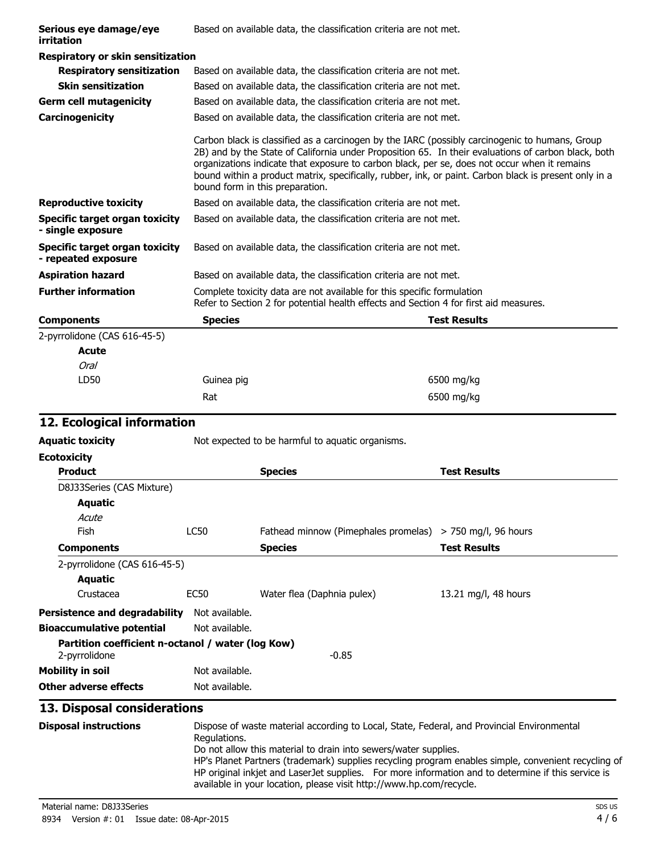| Serious eye damage/eye<br>irritation                         |                                 | Based on available data, the classification criteria are not met.                                                                                                                                                                                                                                                                                                                                              |
|--------------------------------------------------------------|---------------------------------|----------------------------------------------------------------------------------------------------------------------------------------------------------------------------------------------------------------------------------------------------------------------------------------------------------------------------------------------------------------------------------------------------------------|
| Respiratory or skin sensitization                            |                                 |                                                                                                                                                                                                                                                                                                                                                                                                                |
| <b>Respiratory sensitization</b>                             |                                 | Based on available data, the classification criteria are not met.                                                                                                                                                                                                                                                                                                                                              |
| <b>Skin sensitization</b>                                    |                                 | Based on available data, the classification criteria are not met.                                                                                                                                                                                                                                                                                                                                              |
| <b>Germ cell mutagenicity</b>                                |                                 | Based on available data, the classification criteria are not met.                                                                                                                                                                                                                                                                                                                                              |
| Carcinogenicity                                              |                                 | Based on available data, the classification criteria are not met.                                                                                                                                                                                                                                                                                                                                              |
|                                                              | bound form in this preparation. | Carbon black is classified as a carcinogen by the IARC (possibly carcinogenic to humans, Group<br>2B) and by the State of California under Proposition 65. In their evaluations of carbon black, both<br>organizations indicate that exposure to carbon black, per se, does not occur when it remains<br>bound within a product matrix, specifically, rubber, ink, or paint. Carbon black is present only in a |
| <b>Reproductive toxicity</b>                                 |                                 | Based on available data, the classification criteria are not met.                                                                                                                                                                                                                                                                                                                                              |
| <b>Specific target organ toxicity</b><br>- single exposure   |                                 | Based on available data, the classification criteria are not met.                                                                                                                                                                                                                                                                                                                                              |
| <b>Specific target organ toxicity</b><br>- repeated exposure |                                 | Based on available data, the classification criteria are not met.                                                                                                                                                                                                                                                                                                                                              |
| <b>Aspiration hazard</b>                                     |                                 | Based on available data, the classification criteria are not met.                                                                                                                                                                                                                                                                                                                                              |
| <b>Further information</b>                                   |                                 | Complete toxicity data are not available for this specific formulation<br>Refer to Section 2 for potential health effects and Section 4 for first aid measures.                                                                                                                                                                                                                                                |
| <b>Components</b>                                            | <b>Species</b>                  | <b>Test Results</b>                                                                                                                                                                                                                                                                                                                                                                                            |
| 2-pyrrolidone (CAS 616-45-5)                                 |                                 |                                                                                                                                                                                                                                                                                                                                                                                                                |
| Acute                                                        |                                 |                                                                                                                                                                                                                                                                                                                                                                                                                |
| Oral                                                         |                                 |                                                                                                                                                                                                                                                                                                                                                                                                                |

| Oral |            |            |
|------|------------|------------|
| LD50 | Guinea pig | 6500 mg/kg |
|      | Rat        | 6500 mg/kg |
|      |            |            |

## **12. Ecological information**

| Aquatic toxicity | Not expected to be harmful to aquatic organisms. |  |
|------------------|--------------------------------------------------|--|
|------------------|--------------------------------------------------|--|

| <b>Ecotoxicity</b>                                |                |                                      |                        |
|---------------------------------------------------|----------------|--------------------------------------|------------------------|
| <b>Product</b>                                    |                | <b>Species</b>                       | <b>Test Results</b>    |
| D8J33Series (CAS Mixture)                         |                |                                      |                        |
| Aquatic                                           |                |                                      |                        |
| Acute                                             |                |                                      |                        |
| <b>Fish</b>                                       | LC50           | Fathead minnow (Pimephales promelas) | $>$ 750 mg/l, 96 hours |
| <b>Components</b>                                 |                | <b>Species</b>                       | <b>Test Results</b>    |
| 2-pyrrolidone (CAS 616-45-5)                      |                |                                      |                        |
| Aquatic                                           |                |                                      |                        |
| Crustacea                                         | EC50           | Water flea (Daphnia pulex)           | 13.21 mg/l, 48 hours   |
| <b>Persistence and degradability</b>              | Not available. |                                      |                        |
| <b>Bioaccumulative potential</b>                  | Not available. |                                      |                        |
| Partition coefficient n-octanol / water (log Kow) |                |                                      |                        |
| 2-pyrrolidone                                     |                | $-0.85$                              |                        |
| <b>Mobility in soil</b>                           | Not available. |                                      |                        |
| Other adverse effects                             | Not available. |                                      |                        |

## **13. Disposal considerations**

| <b>Disposal instructions</b> | Dispose of waste material according to Local, State, Federal, and Provincial Environmental                                                                                |
|------------------------------|---------------------------------------------------------------------------------------------------------------------------------------------------------------------------|
|                              | Regulations.<br>Do not allow this material to drain into sewers/water supplies.                                                                                           |
|                              | HP's Planet Partners (trademark) supplies recycling program enables simple, convenient recycling of                                                                       |
|                              | HP original inkjet and LaserJet supplies. For more information and to determine if this service is<br>available in your location, please visit http://www.hp.com/recycle. |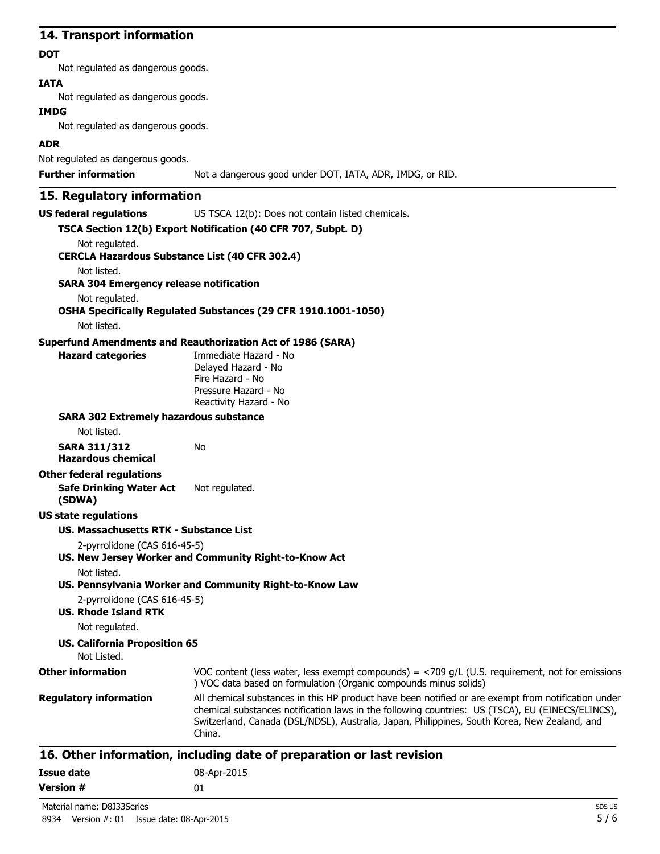### **14. Transport information**

#### **DOT**

Not regulated as dangerous goods.

### **IATA**

Not regulated as dangerous goods.

#### **IMDG**

Not regulated as dangerous goods.

### **ADR**

Not regulated as dangerous goods.

**Further information** Not a dangerous good under DOT, IATA, ADR, IMDG, or RID.

## **15. Regulatory information**

**US federal regulations** US TSCA 12(b): Does not contain listed chemicals.

|                                                       | TSCA Section 12(b) Export Notification (40 CFR 707, Subpt. D)                                                                                                                                                                                                                                                     |
|-------------------------------------------------------|-------------------------------------------------------------------------------------------------------------------------------------------------------------------------------------------------------------------------------------------------------------------------------------------------------------------|
| Not regulated.                                        |                                                                                                                                                                                                                                                                                                                   |
| <b>CERCLA Hazardous Substance List (40 CFR 302.4)</b> |                                                                                                                                                                                                                                                                                                                   |
| Not listed.                                           |                                                                                                                                                                                                                                                                                                                   |
| <b>SARA 304 Emergency release notification</b>        |                                                                                                                                                                                                                                                                                                                   |
| Not regulated.                                        | OSHA Specifically Regulated Substances (29 CFR 1910.1001-1050)                                                                                                                                                                                                                                                    |
| Not listed.                                           |                                                                                                                                                                                                                                                                                                                   |
|                                                       | <b>Superfund Amendments and Reauthorization Act of 1986 (SARA)</b>                                                                                                                                                                                                                                                |
| <b>Hazard categories</b>                              | Immediate Hazard - No                                                                                                                                                                                                                                                                                             |
|                                                       | Delayed Hazard - No<br>Fire Hazard - No                                                                                                                                                                                                                                                                           |
|                                                       | Pressure Hazard - No                                                                                                                                                                                                                                                                                              |
|                                                       | Reactivity Hazard - No                                                                                                                                                                                                                                                                                            |
| <b>SARA 302 Extremely hazardous substance</b>         |                                                                                                                                                                                                                                                                                                                   |
| Not listed.                                           |                                                                                                                                                                                                                                                                                                                   |
| <b>SARA 311/312</b>                                   | No                                                                                                                                                                                                                                                                                                                |
| <b>Hazardous chemical</b>                             |                                                                                                                                                                                                                                                                                                                   |
| <b>Other federal regulations</b>                      |                                                                                                                                                                                                                                                                                                                   |
| <b>Safe Drinking Water Act</b><br>(SDWA)              | Not regulated.                                                                                                                                                                                                                                                                                                    |
| <b>US state regulations</b>                           |                                                                                                                                                                                                                                                                                                                   |
| <b>US. Massachusetts RTK - Substance List</b>         |                                                                                                                                                                                                                                                                                                                   |
| 2-pyrrolidone (CAS 616-45-5)                          |                                                                                                                                                                                                                                                                                                                   |
|                                                       | US. New Jersey Worker and Community Right-to-Know Act                                                                                                                                                                                                                                                             |
| Not listed.                                           |                                                                                                                                                                                                                                                                                                                   |
|                                                       | US. Pennsylvania Worker and Community Right-to-Know Law                                                                                                                                                                                                                                                           |
| 2-pyrrolidone (CAS 616-45-5)                          |                                                                                                                                                                                                                                                                                                                   |
| <b>US. Rhode Island RTK</b>                           |                                                                                                                                                                                                                                                                                                                   |
| Not regulated.                                        |                                                                                                                                                                                                                                                                                                                   |
| <b>US. California Proposition 65</b><br>Not Listed.   |                                                                                                                                                                                                                                                                                                                   |
| <b>Other information</b>                              | VOC content (less water, less exempt compounds) = $<$ 709 g/L (U.S. requirement, not for emissions<br>) VOC data based on formulation (Organic compounds minus solids)                                                                                                                                            |
| <b>Regulatory information</b>                         | All chemical substances in this HP product have been notified or are exempt from notification under<br>chemical substances notification laws in the following countries: US (TSCA), EU (EINECS/ELINCS),<br>Switzerland, Canada (DSL/NDSL), Australia, Japan, Philippines, South Korea, New Zealand, and<br>China. |

| Issue date       | 08-Apr-2015 |
|------------------|-------------|
| <b>Version #</b> | 01          |